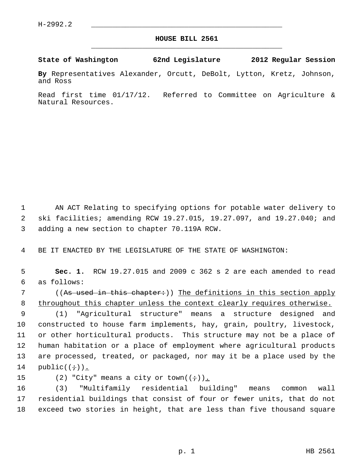## **HOUSE BILL 2561** \_\_\_\_\_\_\_\_\_\_\_\_\_\_\_\_\_\_\_\_\_\_\_\_\_\_\_\_\_\_\_\_\_\_\_\_\_\_\_\_\_\_\_\_\_

## **State of Washington 62nd Legislature 2012 Regular Session**

**By** Representatives Alexander, Orcutt, DeBolt, Lytton, Kretz, Johnson, and Ross

Read first time 01/17/12. Referred to Committee on Agriculture & Natural Resources.

 1 AN ACT Relating to specifying options for potable water delivery to 2 ski facilities; amending RCW 19.27.015, 19.27.097, and 19.27.040; and 3 adding a new section to chapter 70.119A RCW.

4 BE IT ENACTED BY THE LEGISLATURE OF THE STATE OF WASHINGTON:

 5 **Sec. 1.** RCW 19.27.015 and 2009 c 362 s 2 are each amended to read 6 as follows:

7 ((As used in this chapter:)) The definitions in this section apply 8 throughout this chapter unless the context clearly requires otherwise.

 9 (1) "Agricultural structure" means a structure designed and 10 constructed to house farm implements, hay, grain, poultry, livestock, 11 or other horticultural products. This structure may not be a place of 12 human habitation or a place of employment where agricultural products 13 are processed, treated, or packaged, nor may it be a place used by the 14  $public((\div))$ .

15 (2) "City" means a city or town( $(\div)$ ).

16 (3) "Multifamily residential building" means common wall 17 residential buildings that consist of four or fewer units, that do not 18 exceed two stories in height, that are less than five thousand square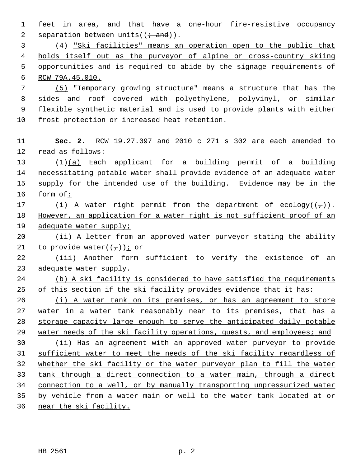1 feet in area, and that have a one-hour fire-resistive occupancy 2 separation between units( $(\div \text{ and})$ ).

 3 (4) "Ski facilities" means an operation open to the public that holds itself out as the purveyor of alpine or cross-country skiing opportunities and is required to abide by the signage requirements of RCW 79A.45.010.

 7 (5) "Temporary growing structure" means a structure that has the 8 sides and roof covered with polyethylene, polyvinyl, or similar 9 flexible synthetic material and is used to provide plants with either 10 frost protection or increased heat retention.

11 **Sec. 2.** RCW 19.27.097 and 2010 c 271 s 302 are each amended to 12 read as follows:

13 (1)(a) Each applicant for a building permit of a building 14 necessitating potable water shall provide evidence of an adequate water 15 supply for the intended use of the building. Evidence may be in the 16 form of:

17 (i) A water right permit from the department of ecology( $(\tau)$ ). 18 However, an application for a water right is not sufficient proof of an 19 adequate water supply;

20 (ii) A letter from an approved water purveyor stating the ability 21 to provide water( $(\frac{\tau}{l})$ ) i or

22 (iii) Another form sufficient to verify the existence of an 23 adequate water supply.

24 (b) A ski facility is considered to have satisfied the requirements 25 of this section if the ski facility provides evidence that it has:

26 (i) A water tank on its premises, or has an agreement to store 27 water in a water tank reasonably near to its premises, that has a 28 storage capacity large enough to serve the anticipated daily potable 29 water needs of the ski facility operations, guests, and employees; and

 (ii) Has an agreement with an approved water purveyor to provide sufficient water to meet the needs of the ski facility regardless of whether the ski facility or the water purveyor plan to fill the water tank through a direct connection to a water main, through a direct connection to a well, or by manually transporting unpressurized water by vehicle from a water main or well to the water tank located at or

36 near the ski facility.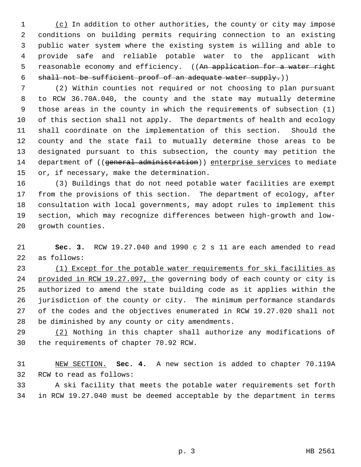1 (c) In addition to other authorities, the county or city may impose 2 conditions on building permits requiring connection to an existing 3 public water system where the existing system is willing and able to 4 provide safe and reliable potable water to the applicant with 5 reasonable economy and efficiency. ((An application for a water right 6 shall not be sufficient proof of an adequate water supply.))

 7 (2) Within counties not required or not choosing to plan pursuant 8 to RCW 36.70A.040, the county and the state may mutually determine 9 those areas in the county in which the requirements of subsection (1) 10 of this section shall not apply. The departments of health and ecology 11 shall coordinate on the implementation of this section. Should the 12 county and the state fail to mutually determine those areas to be 13 designated pursuant to this subsection, the county may petition the 14 department of ((general administration)) enterprise services to mediate 15 or, if necessary, make the determination.

16 (3) Buildings that do not need potable water facilities are exempt 17 from the provisions of this section. The department of ecology, after 18 consultation with local governments, may adopt rules to implement this 19 section, which may recognize differences between high-growth and low-20 growth counties.

21 **Sec. 3.** RCW 19.27.040 and 1990 c 2 s 11 are each amended to read 22 as follows:

23 (1) Except for the potable water requirements for ski facilities as 24 provided in RCW 19.27.097, the governing body of each county or city is 25 authorized to amend the state building code as it applies within the 26 jurisdiction of the county or city. The minimum performance standards 27 of the codes and the objectives enumerated in RCW 19.27.020 shall not 28 be diminished by any county or city amendments.

29 (2) Nothing in this chapter shall authorize any modifications of 30 the requirements of chapter 70.92 RCW.

31 NEW SECTION. **Sec. 4.** A new section is added to chapter 70.119A 32 RCW to read as follows:

33 A ski facility that meets the potable water requirements set forth 34 in RCW 19.27.040 must be deemed acceptable by the department in terms